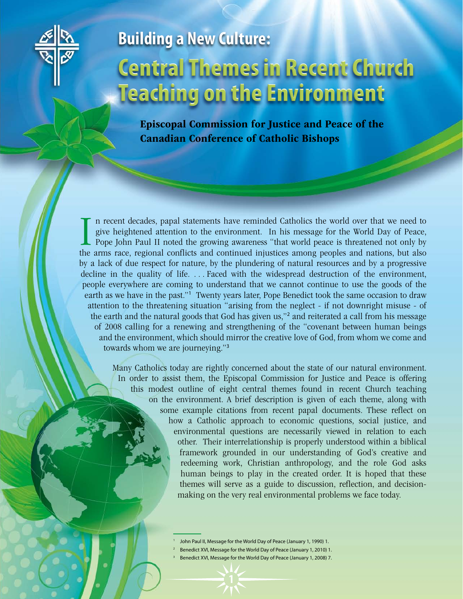

# **Building a New Culture:** Central Themes in Recent Church Teaching on the Environment

Episcopal Commission for Justice and Peace of the Canadian Conference of Catholic Bishops

In recent decades, papal statements have reminded Catholics the world over that we need to give heightened attention to the environment. In his message for the World Day of Peace, Pope John Paul II noted the growing awaren n recent decades, papal statements have reminded Catholics the world over that we need to give heightened attention to the environment. In his message for the World Day of Peace, Pope John Paul II noted the growing awareness "that world peace is threatened not only by by a lack of due respect for nature, by the plundering of natural resources and by a progressive decline in the quality of life. . . . Faced with the widespread destruction of the environment, people everywhere are coming to understand that we cannot continue to use the goods of the earth as we have in the past."<sup>1</sup> Twenty years later, Pope Benedict took the same occasion to draw attention to the threatening situation "arising from the neglect - if not downright misuse - of the earth and the natural goods that God has given us,"<sup>2</sup> and reiterated a call from his message of 2008 calling for a renewing and strengthening of the "covenant between human beings and the environment, which should mirror the creative love of God, from whom we come and towards whom we are journeying."<sup>3</sup>

Many Catholics today are rightly concerned about the state of our natural environment. In order to assist them, the Episcopal Commission for Justice and Peace is offering this modest outline of eight central themes found in recent Church teaching on the environment. A brief description is given of each theme, along with some example citations from recent papal documents. These reflect on how a Catholic approach to economic questions, social justice, and environmental questions are necessarily viewed in relation to each other. Their interrelationship is properly understood within a biblical framework grounded in our understanding of God's creative and redeeming work, Christian anthropology, and the role God asks human beings to play in the created order. It is hoped that these themes will serve as a guide to discussion, reflection, and decisionmaking on the very real environmental problems we face today.

<sup>1</sup> John Paul II, Message for the World Day of Peace (January 1, 1990) 1.

<sup>2</sup> Benedict XVI, Message for the World Day of Peace (January 1, 2010) 1.

<sup>3</sup> Benedict XVI, Message for the World Day of Peace (January 1, 2008) 7.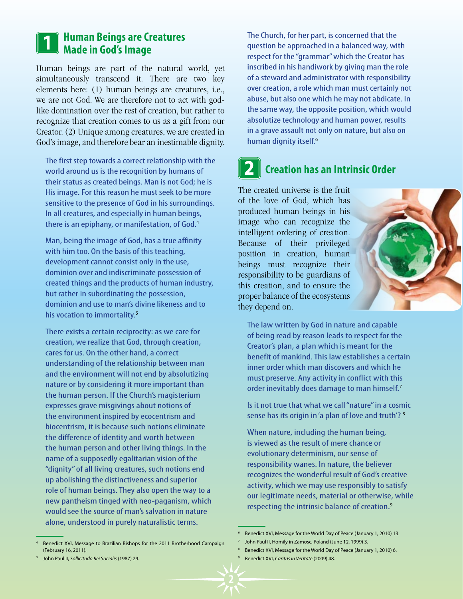## **Human Beings are Creatures Made in God's Image 1**

Human beings are part of the natural world, yet simultaneously transcend it. There are two key elements here: (1) human beings are creatures, i.e., we are not God. We are therefore not to act with godlike domination over the rest of creation, but rather to recognize that creation comes to us as a gift from our Creator. (2) Unique among creatures, we are created in God's image, and therefore bear an inestimable dignity.

The first step towards a correct relationship with the world around us is the recognition by humans of their status as created beings. Man is not God; he is His image. For this reason he must seek to be more sensitive to the presence of God in his surroundings. In all creatures, and especially in human beings, there is an epiphany, or manifestation, of God.<sup>4</sup>

Man, being the image of God, has a true affinity with him too. On the basis of this teaching, development cannot consist only in the use, dominion over and indiscriminate possession of created things and the products of human industry, but rather in subordinating the possession, dominion and use to man's divine likeness and to his vocation to immortality.<sup>5</sup>

There exists a certain reciprocity: as we care for creation, we realize that God, through creation, cares for us. On the other hand, a correct understanding of the relationship between man and the environment will not end by absolutizing nature or by considering it more important than the human person. If the Church's magisterium expresses grave misgivings about notions of the environment inspired by ecocentrism and biocentrism, it is because such notions eliminate the difference of identity and worth between the human person and other living things. In the name of a supposedly egalitarian vision of the "dignity" of all living creatures, such notions end up abolishing the distinctiveness and superior role of human beings. They also open the way to a new pantheism tinged with neo-paganism, which would see the source of man's salvation in nature alone, understood in purely naturalistic terms.

<sup>4</sup> Benedict XVI, Message to Brazilian Bishops for the 2011 Brotherhood Campaign

The Church, for her part, is concerned that the question be approached in a balanced way, with respect for the "grammar" which the Creator has inscribed in his handiwork by giving man the role of a steward and administrator with responsibility over creation, a role which man must certainly not abuse, but also one which he may not abdicate. In the same way, the opposite position, which would absolutize technology and human power, results in a grave assault not only on nature, but also on human dignity itself.<sup>6</sup>

## **Creation has an Intrinsic Order 2**

The created universe is the fruit of the love of God, which has produced human beings in his image who can recognize the intelligent ordering of creation. Because of their privileged position in creation, human beings must recognize their responsibility to be guardians of this creation, and to ensure the proper balance of the ecosystems they depend on.



The law written by God in nature and capable of being read by reason leads to respect for the Creator's plan, a plan which is meant for the benefit of mankind. This law establishes a certain inner order which man discovers and which he must preserve. Any activity in conflict with this order inevitably does damage to man himself.<sup>7</sup>

Is it not true that what we call "nature" in a cosmic sense has its origin in 'a plan of love and truth'? <sup>8</sup>

When nature, including the human being, is viewed as the result of mere chance or evolutionary determinism, our sense of responsibility wanes. In nature, the believer recognizes the wonderful result of God's creative activity, which we may use responsibly to satisfy our legitimate needs, material or otherwise, while respecting the intrinsic balance of creation.<sup>9</sup>

<sup>7</sup> John Paul II, Homily in Zamosc, Poland (June 12, 1999) 3.

<sup>5</sup> John Paul II, *Sollicitudo Rei Socialis* (1987) 29.

(February 16, 2011).

<sup>6</sup> Benedict XVI, Message for the World Day of Peace (January 1, 2010) 13.

<sup>&</sup>lt;sup>8</sup> Benedict XVI, Message for the World Day of Peace (January 1, 2010) 6.

<sup>9</sup> Benedict XVI, *Caritas in Veritate* (2009) 48.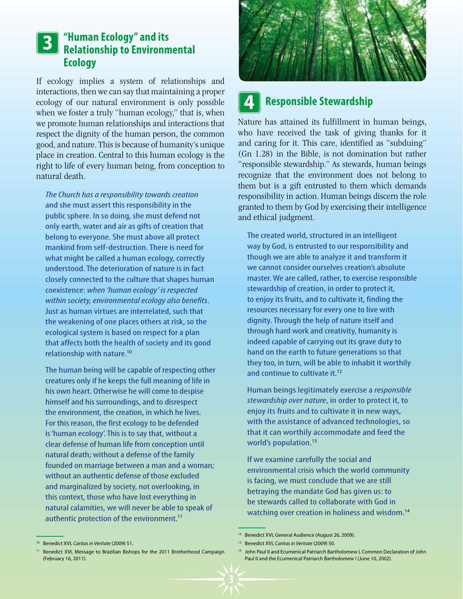## **"Human Ecology" and its Relationship to Environmental Ecology**

If ecology implies a system of relationships and interactions, then we can say that maintaining a proper ecology of our natural environment is only possible when we foster a truly "human ecology," that is, when we promote human relationships and interactions that respect the dignity of the human person, the common good, and nature. This is because of humanity's unique place in creation. Central to this human ecology is the right to life of every human being, from conception to natural death.

*The Church has a responsibility towards creation*  and she must assert this responsibility in the public sphere. In so doing, she must defend not only earth, water and air as gifts of creation that belong to everyone. She must above all protect mankind from self-destruction. There is need for what might be called a human ecology, correctly understood. The deterioration of nature is in fact closely connected to the culture that shapes human coexistence: *when 'human ecology' is respected within society, environmental ecology also benefits*. Just as human virtues are interrelated, such that the weakening of one places others at risk, so the ecological system is based on respect for a plan that affects both the health of society and its good relationship with nature.<sup>10</sup>

The human being will be capable of respecting other creatures only if he keeps the full meaning of life in his own heart. Otherwise he will come to despise himself and his surroundings, and to disrespect the environment, the creation, in which he lives. For this reason, the first ecology to be defended is 'human ecology'. This is to say that, without a clear defense of human life from conception until natural death; without a defense of the family founded on marriage between a man and a woman; without an authentic defense of those excluded and marginalized by society, not overlooking, in this context, those who have lost everything in natural calamities, we will never be able to speak of authentic protection of the environment.<sup>11</sup>



### **Responsible Stewardship 4**

Nature has attained its fulfillment in human beings, who have received the task of giving thanks for it and caring for it. This care, identified as "subduing" (Gn 1.28) in the Bible, is not domination but rather "responsible stewardship." As stewards, human beings recognize that the environment does not belong to them but is a gift entrusted to them which demands responsibility in action. Human beings discern the role granted to them by God by exercising their intelligence and ethical judgment.

The created world, structured in an intelligent way by God, is entrusted to our responsibility and though we are able to analyze it and transform it we cannot consider ourselves creation's absolute master. We are called, rather, to exercise responsible stewardship of creation, in order to protect it, to enjoy its fruits, and to cultivate it, finding the resources necessary for every one to live with dignity. Through the help of nature itself and through hard work and creativity, humanity is indeed capable of carrying out its grave duty to hand on the earth to future generations so that they too, in turn, will be able to inhabit it worthily and continue to cultivate it.<sup>12</sup>

Human beings legitimately exercise a *responsible stewardship over nature*, in order to protect it, to enjoy its fruits and to cultivate it in new ways, with the assistance of advanced technologies, so that it can worthily accommodate and feed the world's population.<sup>13</sup>

If we examine carefully the social and environmental crisis which the world community is facing, we must conclude that we are still betraying the mandate God has given us: to be stewards called to collaborate with God in watching over creation in holiness and wisdom.<sup>14</sup>

<sup>10</sup> Benedict XVI, *Caritas in Veritate* (2009) 51.

<sup>&</sup>lt;sup>11</sup> Benedict XVI, Message to Brazilian Bishops for the 2011 Brotherhood Campaign (February 16, 2011).

<sup>&</sup>lt;sup>12</sup> Benedict XVI, General Audience (August 26, 2009).

<sup>13</sup> Benedict XVI, *Caritas in Veritate* (2009) 50.

<sup>14</sup> John Paul II and Ecumenical Patriarch Bartholomew I, Common Declaration of John Paul II and the Ecumenical Patriarch Bartholomew I (June 10, 2002).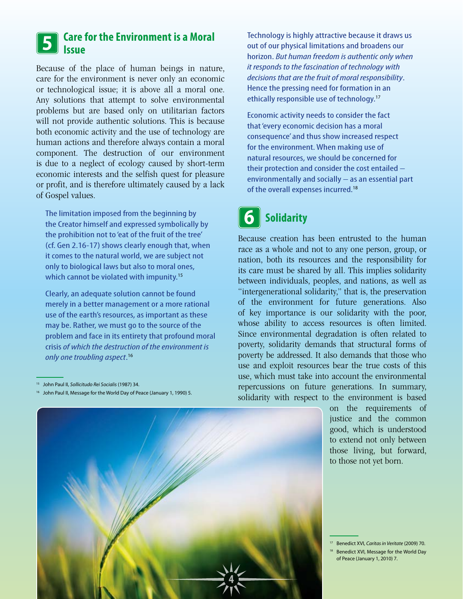# **Care for the Environment is a Moral Issue**<br> **19 Technology is highly attractive because it draws us**<br> **19 ISSUE**<br> **19 ISSUE**<br> **19 ISSUE**<br> **19 ISSUE**

Because of the place of human beings in nature, care for the environment is never only an economic or technological issue; it is above all a moral one. Any solutions that attempt to solve environmental problems but are based only on utilitarian factors will not provide authentic solutions. This is because both economic activity and the use of technology are human actions and therefore always contain a moral component. The destruction of our environment is due to a neglect of ecology caused by short-term economic interests and the selfish quest for pleasure or profit, and is therefore ultimately caused by a lack of Gospel values.

The limitation imposed from the beginning by the Creator himself and expressed symbolically by the prohibition not to 'eat of the fruit of the tree' (cf. Gen 2.16-17) shows clearly enough that, when it comes to the natural world, we are subject not only to biological laws but also to moral ones, which cannot be violated with impunity.<sup>15</sup>

Clearly, an adequate solution cannot be found merely in a better management or a more rational use of the earth's resources, as important as these may be. Rather, we must go to the source of the problem and face in its entirety that profound moral crisis *of which the destruction of the environment is only one troubling aspect*. 16

out of our physical limitations and broadens our horizon. *But human freedom is authentic only when it responds to the fascination of technology with decisions that are the fruit of moral responsibility*. Hence the pressing need for formation in an ethically responsible use of technology.<sup>17</sup>

Economic activity needs to consider the fact that 'every economic decision has a moral consequence' and thus show increased respect for the environment. When making use of natural resources, we should be concerned for their protection and consider the cost entailed – environmentally and socially – as an essential part of the overall expenses incurred.<sup>18</sup>

### **Solidarity 6**

Because creation has been entrusted to the human race as a whole and not to any one person, group, or nation, both its resources and the responsibility for its care must be shared by all. This implies solidarity between individuals, peoples, and nations, as well as "intergenerational solidarity," that is, the preservation of the environment for future generations. Also of key importance is our solidarity with the poor, whose ability to access resources is often limited. Since environmental degradation is often related to poverty, solidarity demands that structural forms of poverty be addressed. It also demands that those who use and exploit resources bear the true costs of this use, which must take into account the environmental repercussions on future generations. In summary, solidarity with respect to the environment is based

on the requirements of justice and the common good, which is understood to extend not only between those living, but forward, to those not yet born.

<sup>17</sup> Benedict XVI, *Caritas in Veritate* (2009) 70. <sup>18</sup> Benedict XVI, Message for the World Day of Peace (January 1, 2010) 7.



<sup>15</sup> John Paul II, *Sollicitudo Rei Socialis* (1987) 34.

<sup>&</sup>lt;sup>16</sup> John Paul II, Message for the World Day of Peace (January 1, 1990) 5.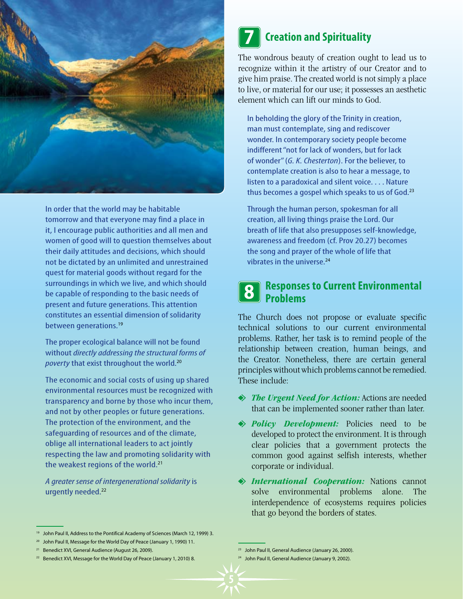

In order that the world may be habitable tomorrow and that everyone may find a place in it, I encourage public authorities and all men and women of good will to question themselves about their daily attitudes and decisions, which should not be dictated by an unlimited and unrestrained quest for material goods without regard for the surroundings in which we live, and which should be capable of responding to the basic needs of present and future generations. This attention constitutes an essential dimension of solidarity between generations.<sup>19</sup>

The proper ecological balance will not be found without *directly addressing the structural forms of poverty* that exist throughout the world.<sup>20</sup>

The economic and social costs of using up shared environmental resources must be recognized with transparency and borne by those who incur them, and not by other peoples or future generations. The protection of the environment, and the safeguarding of resources and of the climate, oblige all international leaders to act jointly respecting the law and promoting solidarity with the weakest regions of the world.<sup>21</sup>

*A greater sense of intergenerational solidarity* is urgently needed.<sup>22</sup>

#### <sup>19</sup> John Paul II, Address to the Pontifical Academy of Sciences (March 12, 1999) 3.



## **Creation and Spirituality**

The wondrous beauty of creation ought to lead us to recognize within it the artistry of our Creator and to give him praise. The created world is not simply a place to live, or material for our use; it possesses an aesthetic element which can lift our minds to God.

In beholding the glory of the Trinity in creation, man must contemplate, sing and rediscover wonder. In contemporary society people become indifferent "not for lack of wonders, but for lack of wonder" (*G. K. Chesterton*). For the believer, to contemplate creation is also to hear a message, to listen to a paradoxical and silent voice. . . . Nature thus becomes a gospel which speaks to us of God.<sup>23</sup>

Through the human person, spokesman for all creation, all living things praise the Lord. Our breath of life that also presupposes self-knowledge, awareness and freedom (cf. Prov 20.27) becomes the song and prayer of the whole of life that vibrates in the universe.<sup>24</sup>

#### **Responses to Current Environmental Problems 8**

The Church does not propose or evaluate specific technical solutions to our current environmental problems. Rather, her task is to remind people of the relationship between creation, human beings, and the Creator. Nonetheless, there are certain general principles without which problems cannot be remedied. These include:

- $\Leftrightarrow$  *The Urgent Need for Action:* Actions are needed that can be implemented sooner rather than later.
- k *Policy Development:* Policies need to be developed to protect the environment. It is through clear policies that a government protects the common good against selfish interests, whether corporate or individual.
- k *International Cooperation:* Nations cannot solve environmental problems alone. The interdependence of ecosystems requires policies that go beyond the borders of states.

<sup>&</sup>lt;sup>20</sup> John Paul II, Message for the World Day of Peace (January 1, 1990) 11.

<sup>&</sup>lt;sup>21</sup> Benedict XVI, General Audience (August 26, 2009).

<sup>&</sup>lt;sup>22</sup> Benedict XVI, Message for the World Day of Peace (January 1, 2010) 8.

<sup>&</sup>lt;sup>23</sup> John Paul II, General Audience (January 26, 2000).

<sup>24</sup> John Paul II, General Audience (January 9, 2002).